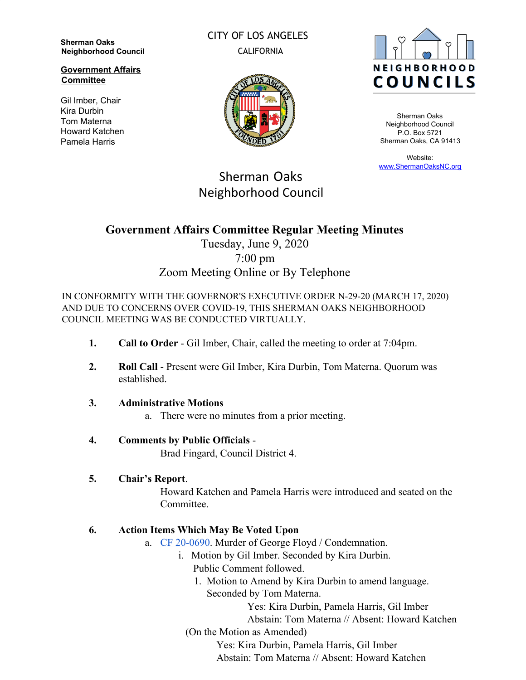**Sherman Oaks Neighborhood Council**

**Government Affairs Committee**

Gil Imber, Chair Kira Durbin Tom Materna Howard Katchen Pamela Harris

CITY OF LOS ANGELES CALIFORNIA





Sherman Oaks Neighborhood Council P.O. Box 5721 Sherman Oaks, CA 91413

Website: [www.ShermanOaksNC.org](http://www.shermanoaksnc.org/)

# Sherman Oaks Neighborhood Council

# **Government Affairs Committee Regular Meeting Minutes**

## Tuesday, June 9, 2020 7:00 pm Zoom Meeting Online or By Telephone

IN CONFORMITY WITH THE GOVERNOR'S EXECUTIVE ORDER N-29-20 (MARCH 17, 2020) AND DUE TO CONCERNS OVER COVID-19, THIS SHERMAN OAKS NEIGHBORHOOD COUNCIL MEETING WAS BE CONDUCTED VIRTUALLY.

- **1. Call to Order**  Gil Imber, Chair, called the meeting to order at 7:04pm.
- **2. Roll Call** Present were Gil Imber, Kira Durbin, Tom Materna. Quorum was established.
- **3. Administrative Motions**
	- a. There were no minutes from a prior meeting.

### **4. Comments by Public Officials** -

Brad Fingard, Council District 4.

### **5. Chair's Report**.

Howard Katchen and Pamela Harris were introduced and seated on the **Committee** 

### **6. Action Items Which May Be Voted Upon**

- a. [CF 20-0690](https://cityclerk.lacity.org/lacityclerkconnect/index.cfm?fa=ccfi.viewrecord&cfnumber=20-0690). Murder of George Floyd / Condemnation.
	- i. Motion by Gil Imber. Seconded by Kira Durbin. Public Comment followed.
		- 1. Motion to Amend by Kira Durbin to amend language. Seconded by Tom Materna.

Yes: Kira Durbin, Pamela Harris, Gil Imber

Abstain: Tom Materna // Absent: Howard Katchen

(On the Motion as Amended)

Yes: Kira Durbin, Pamela Harris, Gil Imber

Abstain: Tom Materna // Absent: Howard Katchen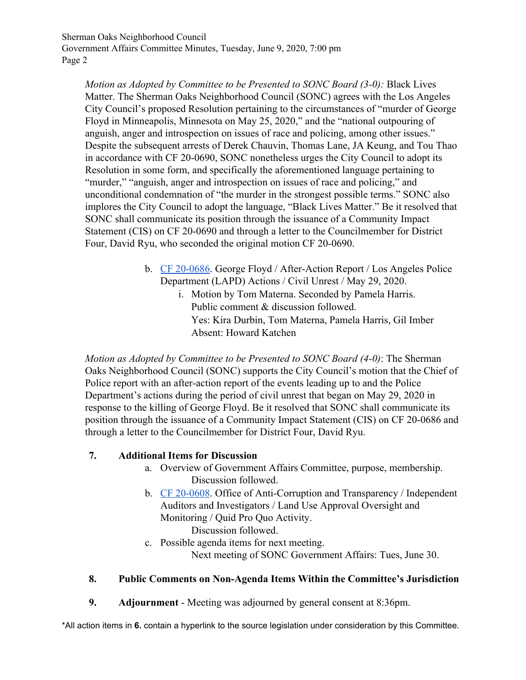Sherman Oaks Neighborhood Council Government Affairs Committee Minutes, Tuesday, June 9, 2020, 7:00 pm Page 2

*Motion as Adopted by Committee to be Presented to SONC Board (3-0):* Black Lives Matter. The Sherman Oaks Neighborhood Council (SONC) agrees with the Los Angeles City Council's proposed Resolution pertaining to the circumstances of "murder of George Floyd in Minneapolis, Minnesota on May 25, 2020," and the "national outpouring of anguish, anger and introspection on issues of race and policing, among other issues." Despite the subsequent arrests of Derek Chauvin, Thomas Lane, JA Keung, and Tou Thao in accordance with CF 20-0690, SONC nonetheless urges the City Council to adopt its Resolution in some form, and specifically the aforementioned language pertaining to "murder," "anguish, anger and introspection on issues of race and policing," and unconditional condemnation of "the murder in the strongest possible terms." SONC also implores the City Council to adopt the language, "Black Lives Matter." Be it resolved that SONC shall communicate its position through the issuance of a Community Impact Statement (CIS) on CF 20-0690 and through a letter to the Councilmember for District Four, David Ryu, who seconded the original motion CF 20-0690.

- b. [CF 20-0686](https://cityclerk.lacity.org/lacityclerkconnect/index.cfm?fa=ccfi.viewrecord&cfnumber=20-0686). George Floyd / After-Action Report / Los Angeles Police Department (LAPD) Actions / Civil Unrest / May 29, 2020.
	- i. Motion by Tom Materna. Seconded by Pamela Harris. Public comment & discussion followed. Yes: Kira Durbin, Tom Materna, Pamela Harris, Gil Imber Absent: Howard Katchen

*Motion as Adopted by Committee to be Presented to SONC Board (4-0)*: The Sherman Oaks Neighborhood Council (SONC) supports the City Council's motion that the Chief of Police report with an after-action report of the events leading up to and the Police Department's actions during the period of civil unrest that began on May 29, 2020 in response to the killing of George Floyd. Be it resolved that SONC shall communicate its position through the issuance of a Community Impact Statement (CIS) on CF 20-0686 and through a letter to the Councilmember for District Four, David Ryu.

#### **7. Additional Items for Discussion**

- a. Overview of Government Affairs Committee, purpose, membership. Discussion followed.
- b. [CF 20-0608](http://clkrep.lacity.org/onlinedocs/2020/20-0608_mot_05-19-2020.pdf). Office of Anti-Corruption and Transparency / Independent Auditors and Investigators / Land Use Approval Oversight and Monitoring / Quid Pro Quo Activity. Discussion followed.
- c. Possible agenda items for next meeting. Next meeting of SONC Government Affairs: Tues, June 30.

#### **8. Public Comments on Non-Agenda Items Within the Committee's Jurisdiction**

**9. Adjournment** - Meeting was adjourned by general consent at 8:36pm.

\*All action items in **6.** contain a hyperlink to the source legislation under consideration by this Committee.